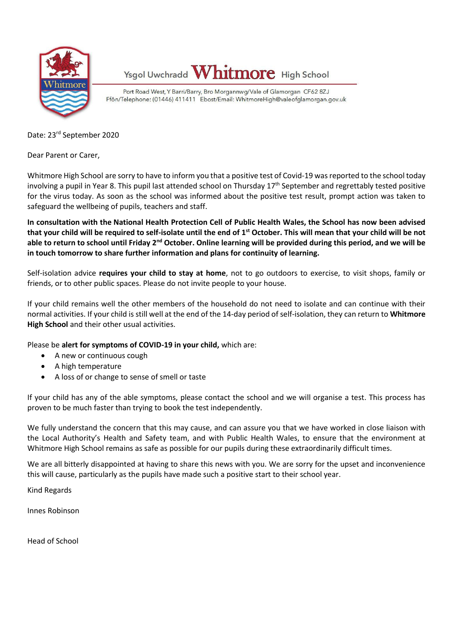

Ysgol Uwchradd Whitmore High School

Port Road West, Y Barri/Barry, Bro Morgannwg/Vale of Glamorgan CF62 8ZJ Ffôn/Telephone: (01446) 411411 Ebost/Email: WhitmoreHigh@valeofglamorgan.gov.uk

Date: 23rd September 2020

Dear Parent or Carer,

Whitmore High School are sorry to have to inform you that a positive test of Covid-19 was reported to the school today involving a pupil in Year 8. This pupil last attended school on Thursday 17<sup>th</sup> September and regrettably tested positive for the virus today. As soon as the school was informed about the positive test result, prompt action was taken to safeguard the wellbeing of pupils, teachers and staff.

**In consultation with the National Health Protection Cell of Public Health Wales, the School has now been advised that your child will be required to self-isolate until the end of 1 st October. This will mean that your child will be not**  able to return to school until Friday 2<sup>nd</sup> October. Online learning will be provided during this period, and we will be **in touch tomorrow to share further information and plans for continuity of learning.**

Self-isolation advice **requires your child to stay at home**, not to go outdoors to exercise, to visit shops, family or friends, or to other public spaces. Please do not invite people to your house.

If your child remains well the other members of the household do not need to isolate and can continue with their normal activities. If your child is still well at the end of the 14-day period of self-isolation, they can return to **Whitmore High School** and their other usual activities.

Please be **alert for symptoms of COVID-19 in your child,** which are:

- A new or continuous cough
- A high temperature
- A loss of or change to sense of smell or taste

If your child has any of the able symptoms, please contact the school and we will organise a test. This process has proven to be much faster than trying to book the test independently.

We fully understand the concern that this may cause, and can assure you that we have worked in close liaison with the Local Authority's Health and Safety team, and with Public Health Wales, to ensure that the environment at Whitmore High School remains as safe as possible for our pupils during these extraordinarily difficult times.

We are all bitterly disappointed at having to share this news with you. We are sorry for the upset and inconvenience this will cause, particularly as the pupils have made such a positive start to their school year.

Kind Regards

Innes Robinson

Head of School